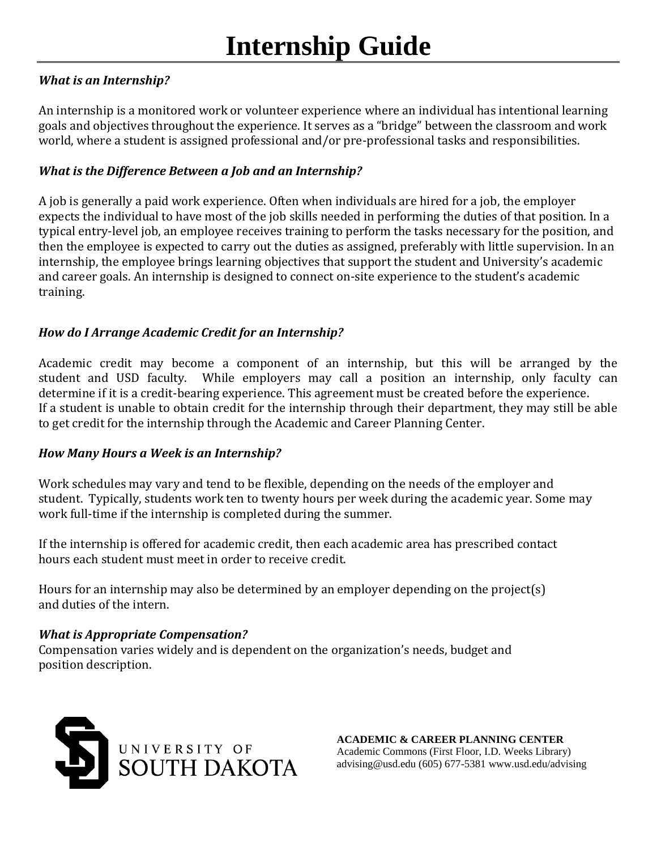# *What is an Internship?*

An internship is a monitored work or volunteer experience where an individual has intentional learning goals and objectives throughout the experience. It serves as a "bridge" between the classroom and work world, where a student is assigned professional and/or pre-professional tasks and responsibilities.

# *What is the Difference Between a Job and an Internship?*

A job is generally a paid work experience. Often when individuals are hired for a job, the employer expects the individual to have most of the job skills needed in performing the duties of that position. In a typical entry-level job, an employee receives training to perform the tasks necessary for the position, and then the employee is expected to carry out the duties as assigned, preferably with little supervision. In an internship, the employee brings learning objectives that support the student and University's academic and career goals. An internship is designed to connect on-site experience to the student's academic training.

# *How do I Arrange Academic Credit for an Internship?*

Academic credit may become a component of an internship, but this will be arranged by the student and USD faculty. While employers may call a position an internship, only faculty can determine if it is a credit-bearing experience. This agreement must be created before the experience. If a student is unable to obtain credit for the internship through their department, they may still be able to get credit for the internship through the Academic and Career Planning Center.

## *How Many Hours a Week is an Internship?*

Work schedules may vary and tend to be flexible, depending on the needs of the employer and student. Typically, students work ten to twenty hours per week during the academic year. Some may work full-time if the internship is completed during the summer.

If the internship is offered for academic credit, then each academic area has prescribed contact hours each student must meet in order to receive credit.

Hours for an internship may also be determined by an employer depending on the project(s) and duties of the intern.

#### *What is Appropriate Compensation?*

Compensation varies widely and is dependent on the organization's needs, budget and position description.



**ACADEMIC & CAREER PLANNING CENTER** Academic Commons (First Floor, I.D. Weeks Library) advising@usd.edu (605) 677-5381 www.usd.edu/advising